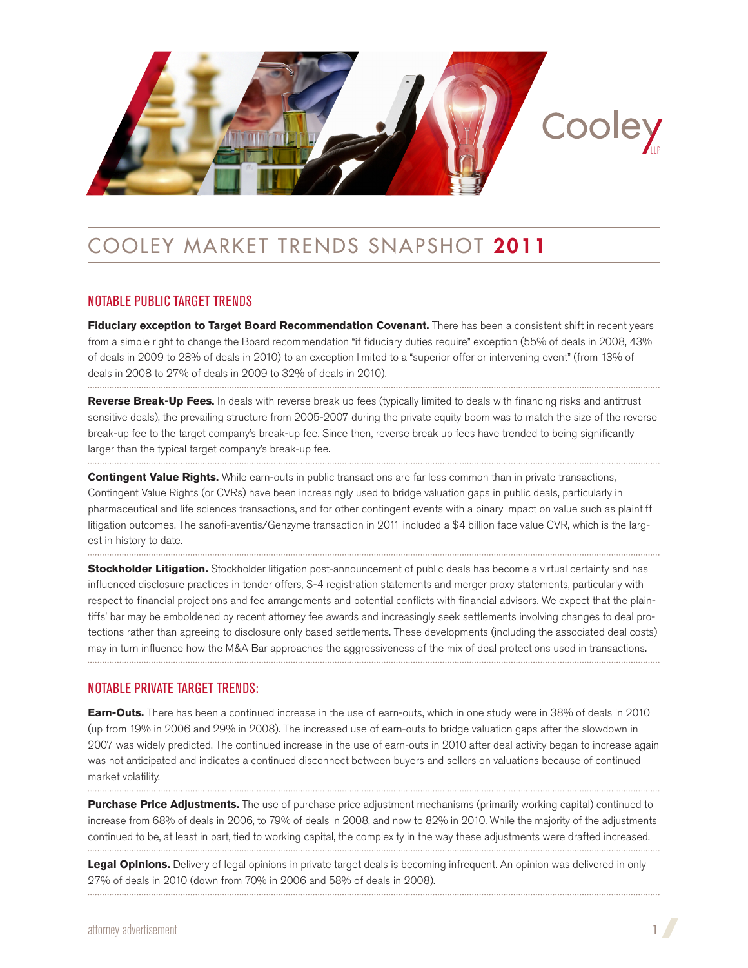

# Cooley Market Trends Snapshot 2011

## Notable public target trends

**Fiduciary exception to Target Board Recommendation Covenant.** There has been a consistent shift in recent years from a simple right to change the Board recommendation "if fiduciary duties require" exception (55% of deals in 2008, 43% of deals in 2009 to 28% of deals in 2010) to an exception limited to a "superior offer or intervening event" (from 13% of deals in 2008 to 27% of deals in 2009 to 32% of deals in 2010).

**Reverse Break-Up Fees.** In deals with reverse break up fees (typically limited to deals with financing risks and antitrust sensitive deals), the prevailing structure from 2005-2007 during the private equity boom was to match the size of the reverse break-up fee to the target company's break-up fee. Since then, reverse break up fees have trended to being significantly larger than the typical target company's break-up fee.

**Contingent Value Rights.** While earn-outs in public transactions are far less common than in private transactions, Contingent Value Rights (or CVRs) have been increasingly used to bridge valuation gaps in public deals, particularly in pharmaceutical and life sciences transactions, and for other contingent events with a binary impact on value such as plaintiff litigation outcomes. The sanofi-aventis/Genzyme transaction in 2011 included a \$4 billion face value CVR, which is the largest in history to date.

**Stockholder Litigation.** Stockholder litigation post-announcement of public deals has become a virtual certainty and has influenced disclosure practices in tender offers, S-4 registration statements and merger proxy statements, particularly with respect to financial projections and fee arrangements and potential conflicts with financial advisors. We expect that the plaintiffs' bar may be emboldened by recent attorney fee awards and increasingly seek settlements involving changes to deal protections rather than agreeing to disclosure only based settlements. These developments (including the associated deal costs) may in turn influence how the M&A Bar approaches the aggressiveness of the mix of deal protections used in transactions.

## Notable private target trends:

**Earn-Outs.** There has been a continued increase in the use of earn-outs, which in one study were in 38% of deals in 2010 (up from 19% in 2006 and 29% in 2008). The increased use of earn-outs to bridge valuation gaps after the slowdown in 2007 was widely predicted. The continued increase in the use of earn-outs in 2010 after deal activity began to increase again was not anticipated and indicates a continued disconnect between buyers and sellers on valuations because of continued market volatility.

**Purchase Price Adjustments.** The use of purchase price adjustment mechanisms (primarily working capital) continued to increase from 68% of deals in 2006, to 79% of deals in 2008, and now to 82% in 2010. While the majority of the adjustments continued to be, at least in part, tied to working capital, the complexity in the way these adjustments were drafted increased.

Legal Opinions. Delivery of legal opinions in private target deals is becoming infrequent. An opinion was delivered in only 27% of deals in 2010 (down from 70% in 2006 and 58% of deals in 2008).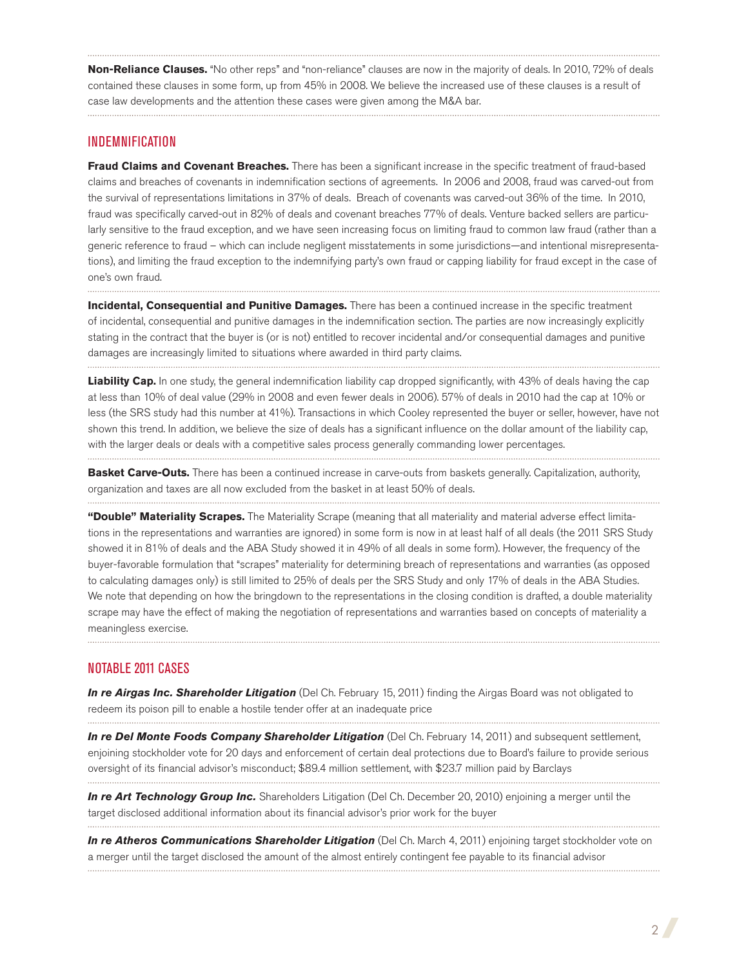**Non-Reliance Clauses.** "No other reps" and "non-reliance" clauses are now in the majority of deals. In 2010, 72% of deals contained these clauses in some form, up from 45% in 2008. We believe the increased use of these clauses is a result of case law developments and the attention these cases were given among the M&A bar.

## Indemnification

**Fraud Claims and Covenant Breaches.** There has been a significant increase in the specific treatment of fraud-based claims and breaches of covenants in indemnification sections of agreements. In 2006 and 2008, fraud was carved-out from the survival of representations limitations in 37% of deals. Breach of covenants was carved-out 36% of the time. In 2010, fraud was specifically carved-out in 82% of deals and covenant breaches 77% of deals. Venture backed sellers are particularly sensitive to the fraud exception, and we have seen increasing focus on limiting fraud to common law fraud (rather than a generic reference to fraud – which can include negligent misstatements in some jurisdictions—and intentional misrepresentations), and limiting the fraud exception to the indemnifying party's own fraud or capping liability for fraud except in the case of one's own fraud.

**Incidental, Consequential and Punitive Damages.** There has been a continued increase in the specific treatment of incidental, consequential and punitive damages in the indemnification section. The parties are now increasingly explicitly stating in the contract that the buyer is (or is not) entitled to recover incidental and/or consequential damages and punitive damages are increasingly limited to situations where awarded in third party claims.

Liability Cap. In one study, the general indemnification liability cap dropped significantly, with 43% of deals having the cap at less than 10% of deal value (29% in 2008 and even fewer deals in 2006). 57% of deals in 2010 had the cap at 10% or less (the SRS study had this number at 41%). Transactions in which Cooley represented the buyer or seller, however, have not shown this trend. In addition, we believe the size of deals has a significant influence on the dollar amount of the liability cap, with the larger deals or deals with a competitive sales process generally commanding lower percentages. 

**Basket Carve-Outs.** There has been a continued increase in carve-outs from baskets generally. Capitalization, authority, organization and taxes are all now excluded from the basket in at least 50% of deals.

**"Double" Materiality Scrapes.** The Materiality Scrape (meaning that all materiality and material adverse effect limitations in the representations and warranties are ignored) in some form is now in at least half of all deals (the 2011 SRS Study showed it in 81% of deals and the ABA Study showed it in 49% of all deals in some form). However, the frequency of the buyer-favorable formulation that "scrapes" materiality for determining breach of representations and warranties (as opposed to calculating damages only) is still limited to 25% of deals per the SRS Study and only 17% of deals in the ABA Studies. We note that depending on how the bringdown to the representations in the closing condition is drafted, a double materiality scrape may have the effect of making the negotiation of representations and warranties based on concepts of materiality a meaningless exercise.

## Notable 2011 Cases

*In re Airgas Inc. Shareholder Litigation* (Del Ch. February 15, 2011) finding the Airgas Board was not obligated to redeem its poison pill to enable a hostile tender offer at an inadequate price

In re Del Monte Foods Company Shareholder Litigation (Del Ch. February 14, 2011) and subsequent settlement, enjoining stockholder vote for 20 days and enforcement of certain deal protections due to Board's failure to provide serious oversight of its financial advisor's misconduct; \$89.4 million settlement, with \$23.7 million paid by Barclays 

*In re Art Technology Group Inc.* Shareholders Litigation (Del Ch. December 20, 2010) enjoining a merger until the target disclosed additional information about its financial advisor's prior work for the buyer 

In re Atheros Communications Shareholder Litigation (Del Ch. March 4, 2011) enjoining target stockholder vote on a merger until the target disclosed the amount of the almost entirely contingent fee payable to its financial advisor